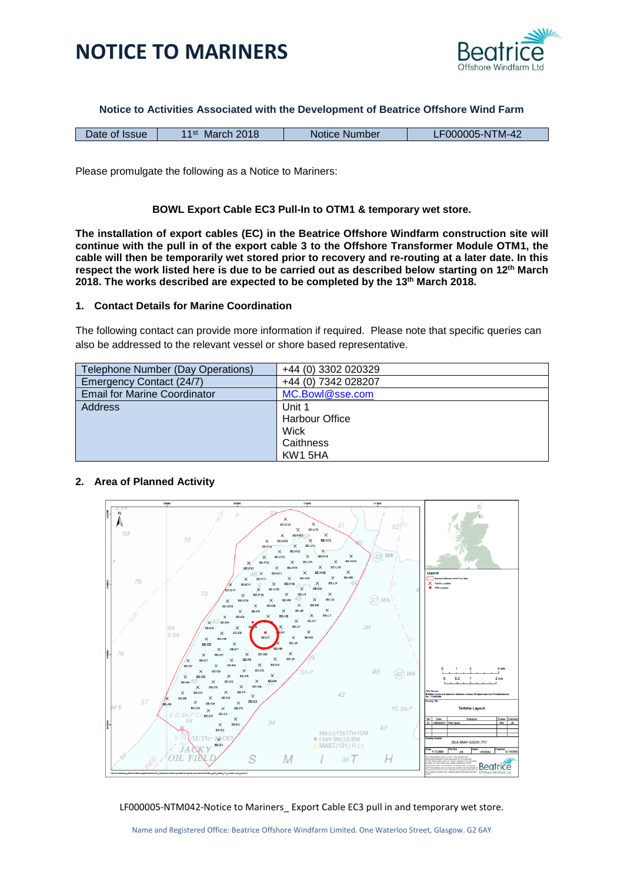



**Notice to Activities Associated with the Development of Beatrice Offshore Wind Farm**

| March 2018<br>1 1 st<br>Date of Issue | Notice Number | F000005-NTM-42 |
|---------------------------------------|---------------|----------------|
|---------------------------------------|---------------|----------------|

Please promulgate the following as a Notice to Mariners:

### **BOWL Export Cable EC3 Pull-In to OTM1 & temporary wet store.**

**The installation of export cables (EC) in the Beatrice Offshore Windfarm construction site will continue with the pull in of the export cable 3 to the Offshore Transformer Module OTM1, the cable will then be temporarily wet stored prior to recovery and re-routing at a later date. In this respect the work listed here is due to be carried out as described below starting on 12th March 2018. The works described are expected to be completed by the 13th March 2018.**

### **1. Contact Details for Marine Coordination**

The following contact can provide more information if required. Please note that specific queries can also be addressed to the relevant vessel or shore based representative.

| Telephone Number (Day Operations)   | +44 (0) 3302 020329   |
|-------------------------------------|-----------------------|
| Emergency Contact (24/7)            | +44 (0) 7342 028207   |
| <b>Email for Marine Coordinator</b> | MC.Bowl@sse.com       |
| Address                             | Unit 1                |
|                                     | <b>Harbour Office</b> |
|                                     | Wick                  |
|                                     | Caithness             |
|                                     | KW1 5HA               |

### **2. Area of Planned Activity**



LF000005-NTM042-Notice to Mariners\_ Export Cable EC3 pull in and temporary wet store.

Name and Registered Office: Beatrice Offshore Windfarm Limited. One Waterloo Street, Glasgow. G2 6AY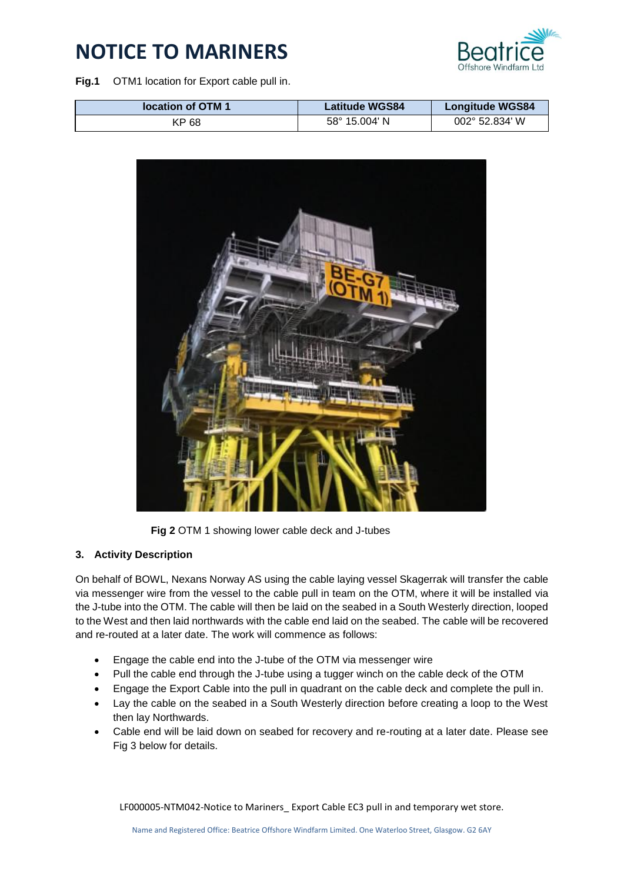

**Fig.1** OTM1 location for Export cable pull in.

| location of OTM 1 | <b>Latitude WGS84</b> | <b>Longitude WGS84</b> |
|-------------------|-----------------------|------------------------|
| KP 68             | 58° 15.004' N         | 002° 52.834' W         |



**Fig 2** OTM 1 showing lower cable deck and J-tubes

### **3. Activity Description**

On behalf of BOWL, Nexans Norway AS using the cable laying vessel Skagerrak will transfer the cable via messenger wire from the vessel to the cable pull in team on the OTM, where it will be installed via the J-tube into the OTM. The cable will then be laid on the seabed in a South Westerly direction, looped to the West and then laid northwards with the cable end laid on the seabed. The cable will be recovered and re-routed at a later date. The work will commence as follows:

- Engage the cable end into the J-tube of the OTM via messenger wire
- Pull the cable end through the J-tube using a tugger winch on the cable deck of the OTM
- Engage the Export Cable into the pull in quadrant on the cable deck and complete the pull in.
- Lay the cable on the seabed in a South Westerly direction before creating a loop to the West then lay Northwards.
- Cable end will be laid down on seabed for recovery and re-routing at a later date. Please see Fig 3 below for details.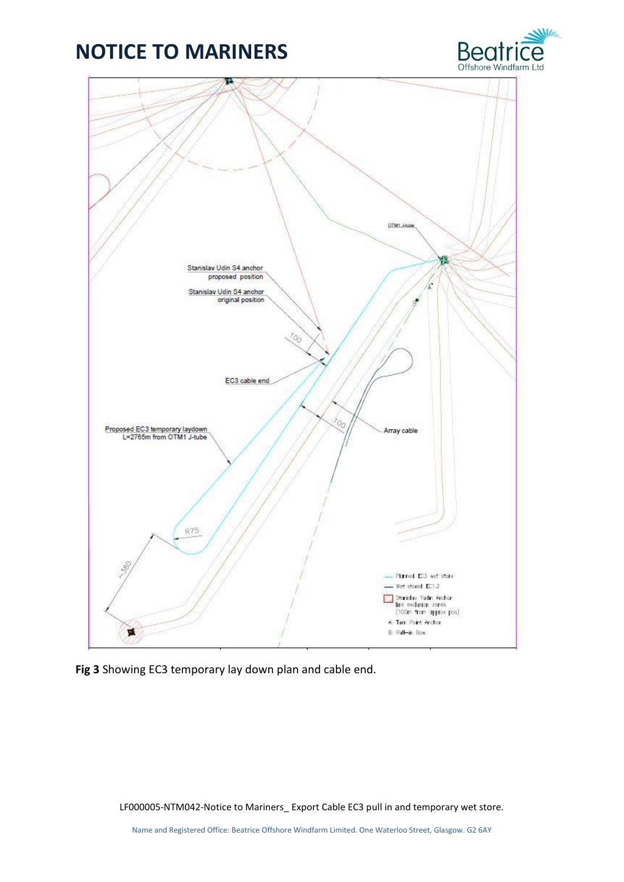



**Fig 3** Showing EC3 temporary lay down plan and cable end.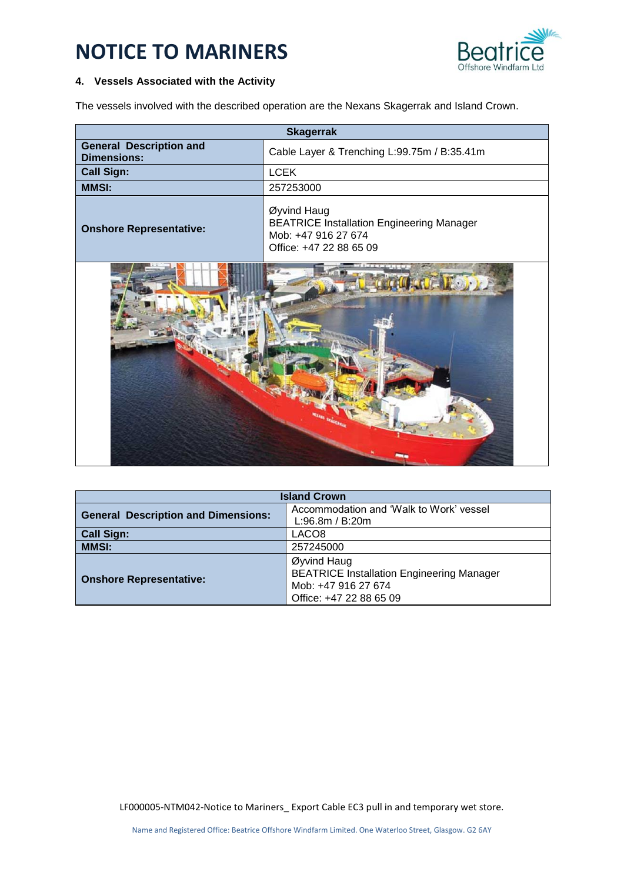

### **4. Vessels Associated with the Activity**

The vessels involved with the described operation are the Nexans Skagerrak and Island Crown.

| <b>Skagerrak</b>                                     |                                                                                                                   |
|------------------------------------------------------|-------------------------------------------------------------------------------------------------------------------|
| <b>General Description and</b><br><b>Dimensions:</b> | Cable Layer & Trenching L:99.75m / B:35.41m                                                                       |
| <b>Call Sign:</b>                                    | <b>LCEK</b>                                                                                                       |
| <b>MMSI:</b>                                         | 257253000                                                                                                         |
| <b>Onshore Representative:</b>                       | Øyvind Haug<br><b>BEATRICE Installation Engineering Manager</b><br>Mob: +47 916 27 674<br>Office: +47 22 88 65 09 |
|                                                      |                                                                                                                   |

| <b>Island Crown</b>                        |                                                            |  |
|--------------------------------------------|------------------------------------------------------------|--|
| <b>General Description and Dimensions:</b> | Accommodation and 'Walk to Work' vessel<br>L:96.8m / B:20m |  |
| <b>Call Sign:</b>                          | LACO8                                                      |  |
| <b>MMSI:</b>                               | 257245000                                                  |  |
|                                            |                                                            |  |
| <b>Onshore Representative:</b>             | Øyvind Haug                                                |  |
|                                            | <b>BEATRICE Installation Engineering Manager</b>           |  |
|                                            | Mob: +47 916 27 674                                        |  |
|                                            | Office: +47 22 88 65 09                                    |  |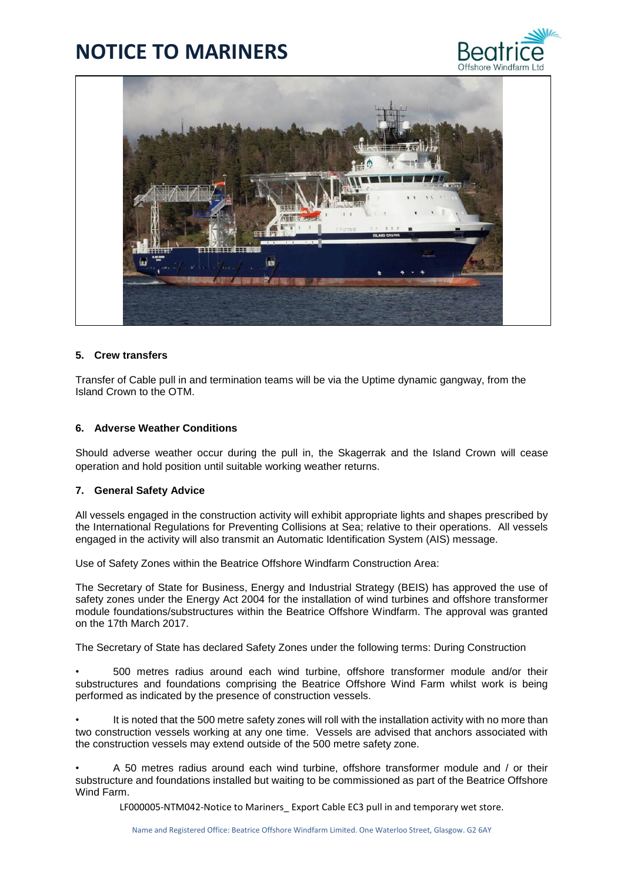



### **5. Crew transfers**

Transfer of Cable pull in and termination teams will be via the Uptime dynamic gangway, from the Island Crown to the OTM.

### **6. Adverse Weather Conditions**

Should adverse weather occur during the pull in, the Skagerrak and the Island Crown will cease operation and hold position until suitable working weather returns.

### **7. General Safety Advice**

All vessels engaged in the construction activity will exhibit appropriate lights and shapes prescribed by the International Regulations for Preventing Collisions at Sea; relative to their operations. All vessels engaged in the activity will also transmit an Automatic Identification System (AIS) message.

Use of Safety Zones within the Beatrice Offshore Windfarm Construction Area:

The Secretary of State for Business, Energy and Industrial Strategy (BEIS) has approved the use of safety zones under the Energy Act 2004 for the installation of wind turbines and offshore transformer module foundations/substructures within the Beatrice Offshore Windfarm. The approval was granted on the 17th March 2017.

The Secretary of State has declared Safety Zones under the following terms: During Construction

• 500 metres radius around each wind turbine, offshore transformer module and/or their substructures and foundations comprising the Beatrice Offshore Wind Farm whilst work is being performed as indicated by the presence of construction vessels.

It is noted that the 500 metre safety zones will roll with the installation activity with no more than two construction vessels working at any one time. Vessels are advised that anchors associated with the construction vessels may extend outside of the 500 metre safety zone.

• A 50 metres radius around each wind turbine, offshore transformer module and / or their substructure and foundations installed but waiting to be commissioned as part of the Beatrice Offshore Wind Farm.